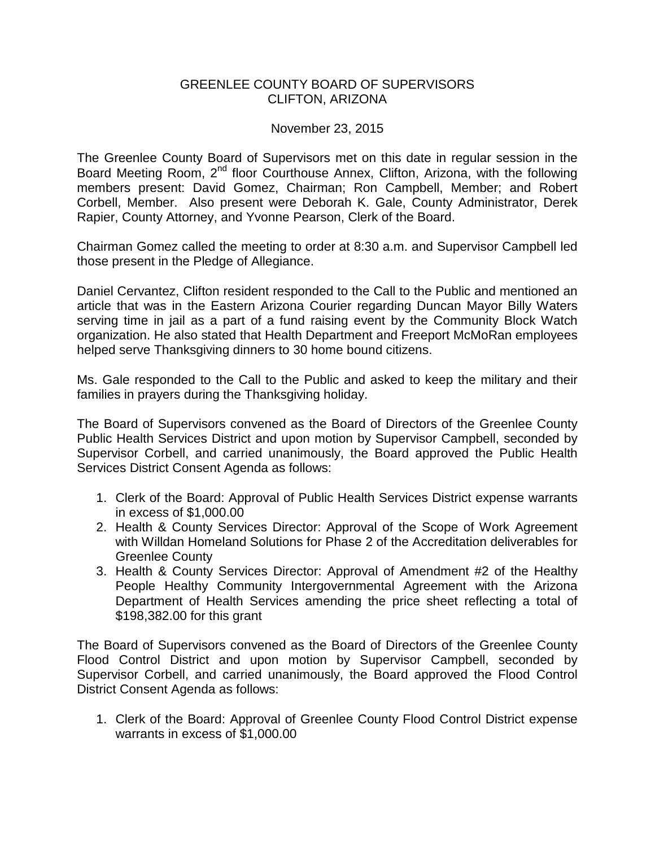## GREENLEE COUNTY BOARD OF SUPERVISORS CLIFTON, ARIZONA

## November 23, 2015

The Greenlee County Board of Supervisors met on this date in regular session in the Board Meeting Room, 2<sup>nd</sup> floor Courthouse Annex, Clifton, Arizona, with the following members present: David Gomez, Chairman; Ron Campbell, Member; and Robert Corbell, Member. Also present were Deborah K. Gale, County Administrator, Derek Rapier, County Attorney, and Yvonne Pearson, Clerk of the Board.

Chairman Gomez called the meeting to order at 8:30 a.m. and Supervisor Campbell led those present in the Pledge of Allegiance.

Daniel Cervantez, Clifton resident responded to the Call to the Public and mentioned an article that was in the Eastern Arizona Courier regarding Duncan Mayor Billy Waters serving time in jail as a part of a fund raising event by the Community Block Watch organization. He also stated that Health Department and Freeport McMoRan employees helped serve Thanksgiving dinners to 30 home bound citizens.

Ms. Gale responded to the Call to the Public and asked to keep the military and their families in prayers during the Thanksgiving holiday.

The Board of Supervisors convened as the Board of Directors of the Greenlee County Public Health Services District and upon motion by Supervisor Campbell, seconded by Supervisor Corbell, and carried unanimously, the Board approved the Public Health Services District Consent Agenda as follows:

- 1. Clerk of the Board: Approval of Public Health Services District expense warrants in excess of \$1,000.00
- 2. Health & County Services Director: Approval of the Scope of Work Agreement with Willdan Homeland Solutions for Phase 2 of the Accreditation deliverables for Greenlee County
- 3. Health & County Services Director: Approval of Amendment #2 of the Healthy People Healthy Community Intergovernmental Agreement with the Arizona Department of Health Services amending the price sheet reflecting a total of \$198,382.00 for this grant

The Board of Supervisors convened as the Board of Directors of the Greenlee County Flood Control District and upon motion by Supervisor Campbell, seconded by Supervisor Corbell, and carried unanimously, the Board approved the Flood Control District Consent Agenda as follows:

1. Clerk of the Board: Approval of Greenlee County Flood Control District expense warrants in excess of \$1,000.00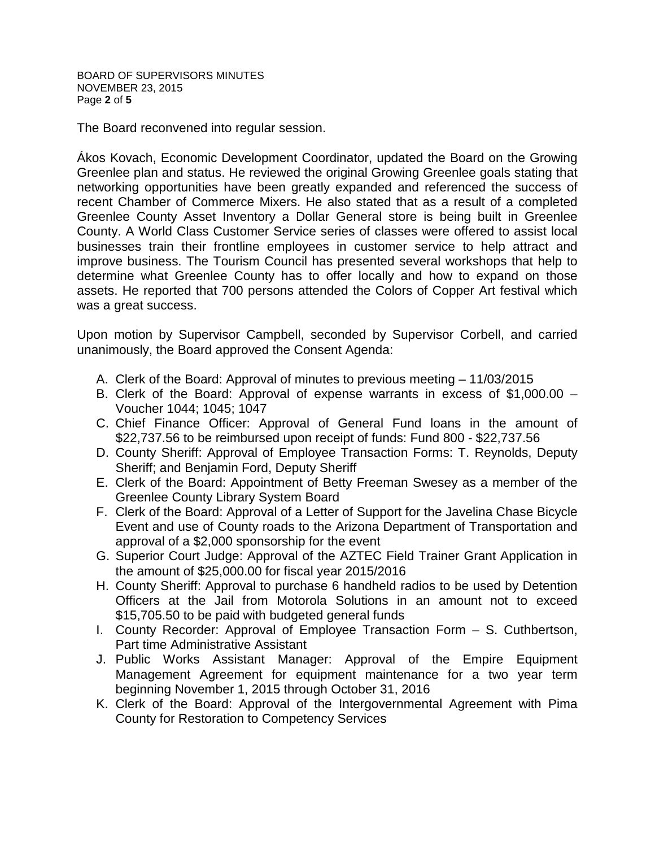BOARD OF SUPERVISORS MINUTES NOVEMBER 23, 2015 Page **2** of **5**

The Board reconvened into regular session.

Ákos Kovach, Economic Development Coordinator, updated the Board on the Growing Greenlee plan and status. He reviewed the original Growing Greenlee goals stating that networking opportunities have been greatly expanded and referenced the success of recent Chamber of Commerce Mixers. He also stated that as a result of a completed Greenlee County Asset Inventory a Dollar General store is being built in Greenlee County. A World Class Customer Service series of classes were offered to assist local businesses train their frontline employees in customer service to help attract and improve business. The Tourism Council has presented several workshops that help to determine what Greenlee County has to offer locally and how to expand on those assets. He reported that 700 persons attended the Colors of Copper Art festival which was a great success.

Upon motion by Supervisor Campbell, seconded by Supervisor Corbell, and carried unanimously, the Board approved the Consent Agenda:

- A. Clerk of the Board: Approval of minutes to previous meeting 11/03/2015
- B. Clerk of the Board: Approval of expense warrants in excess of \$1,000.00 Voucher 1044; 1045; 1047
- C. Chief Finance Officer: Approval of General Fund loans in the amount of \$22,737.56 to be reimbursed upon receipt of funds: Fund 800 - \$22,737.56
- D. County Sheriff: Approval of Employee Transaction Forms: T. Reynolds, Deputy Sheriff; and Benjamin Ford, Deputy Sheriff
- E. Clerk of the Board: Appointment of Betty Freeman Swesey as a member of the Greenlee County Library System Board
- F. Clerk of the Board: Approval of a Letter of Support for the Javelina Chase Bicycle Event and use of County roads to the Arizona Department of Transportation and approval of a \$2,000 sponsorship for the event
- G. Superior Court Judge: Approval of the AZTEC Field Trainer Grant Application in the amount of \$25,000.00 for fiscal year 2015/2016
- H. County Sheriff: Approval to purchase 6 handheld radios to be used by Detention Officers at the Jail from Motorola Solutions in an amount not to exceed \$15,705.50 to be paid with budgeted general funds
- I. County Recorder: Approval of Employee Transaction Form S. Cuthbertson, Part time Administrative Assistant
- J. Public Works Assistant Manager: Approval of the Empire Equipment Management Agreement for equipment maintenance for a two year term beginning November 1, 2015 through October 31, 2016
- K. Clerk of the Board: Approval of the Intergovernmental Agreement with Pima County for Restoration to Competency Services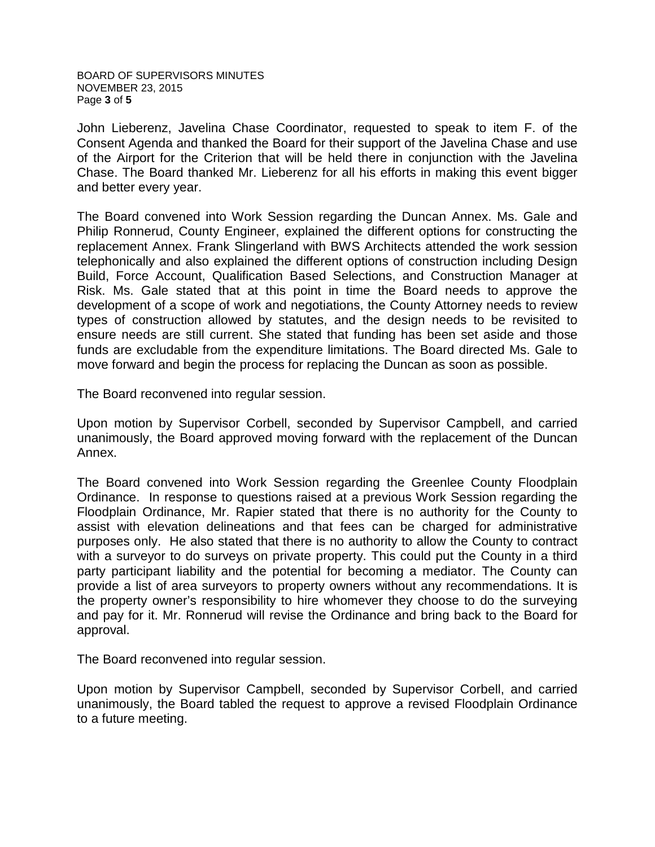BOARD OF SUPERVISORS MINUTES NOVEMBER 23, 2015 Page **3** of **5**

John Lieberenz, Javelina Chase Coordinator, requested to speak to item F. of the Consent Agenda and thanked the Board for their support of the Javelina Chase and use of the Airport for the Criterion that will be held there in conjunction with the Javelina Chase. The Board thanked Mr. Lieberenz for all his efforts in making this event bigger and better every year.

The Board convened into Work Session regarding the Duncan Annex. Ms. Gale and Philip Ronnerud, County Engineer, explained the different options for constructing the replacement Annex. Frank Slingerland with BWS Architects attended the work session telephonically and also explained the different options of construction including Design Build, Force Account, Qualification Based Selections, and Construction Manager at Risk. Ms. Gale stated that at this point in time the Board needs to approve the development of a scope of work and negotiations, the County Attorney needs to review types of construction allowed by statutes, and the design needs to be revisited to ensure needs are still current. She stated that funding has been set aside and those funds are excludable from the expenditure limitations. The Board directed Ms. Gale to move forward and begin the process for replacing the Duncan as soon as possible.

The Board reconvened into regular session.

Upon motion by Supervisor Corbell, seconded by Supervisor Campbell, and carried unanimously, the Board approved moving forward with the replacement of the Duncan Annex.

The Board convened into Work Session regarding the Greenlee County Floodplain Ordinance. In response to questions raised at a previous Work Session regarding the Floodplain Ordinance, Mr. Rapier stated that there is no authority for the County to assist with elevation delineations and that fees can be charged for administrative purposes only. He also stated that there is no authority to allow the County to contract with a surveyor to do surveys on private property. This could put the County in a third party participant liability and the potential for becoming a mediator. The County can provide a list of area surveyors to property owners without any recommendations. It is the property owner's responsibility to hire whomever they choose to do the surveying and pay for it. Mr. Ronnerud will revise the Ordinance and bring back to the Board for approval.

The Board reconvened into regular session.

Upon motion by Supervisor Campbell, seconded by Supervisor Corbell, and carried unanimously, the Board tabled the request to approve a revised Floodplain Ordinance to a future meeting.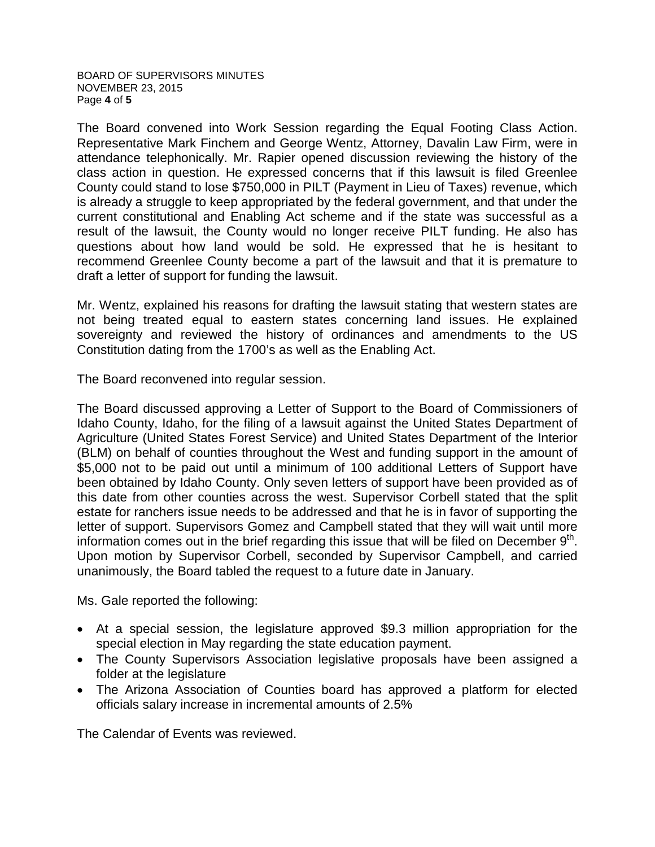BOARD OF SUPERVISORS MINUTES NOVEMBER 23, 2015 Page **4** of **5**

The Board convened into Work Session regarding the Equal Footing Class Action. Representative Mark Finchem and George Wentz, Attorney, Davalin Law Firm, were in attendance telephonically. Mr. Rapier opened discussion reviewing the history of the class action in question. He expressed concerns that if this lawsuit is filed Greenlee County could stand to lose \$750,000 in PILT (Payment in Lieu of Taxes) revenue, which is already a struggle to keep appropriated by the federal government, and that under the current constitutional and Enabling Act scheme and if the state was successful as a result of the lawsuit, the County would no longer receive PILT funding. He also has questions about how land would be sold. He expressed that he is hesitant to recommend Greenlee County become a part of the lawsuit and that it is premature to draft a letter of support for funding the lawsuit.

Mr. Wentz, explained his reasons for drafting the lawsuit stating that western states are not being treated equal to eastern states concerning land issues. He explained sovereignty and reviewed the history of ordinances and amendments to the US Constitution dating from the 1700's as well as the Enabling Act.

The Board reconvened into regular session.

The Board discussed approving a Letter of Support to the Board of Commissioners of Idaho County, Idaho, for the filing of a lawsuit against the United States Department of Agriculture (United States Forest Service) and United States Department of the Interior (BLM) on behalf of counties throughout the West and funding support in the amount of \$5,000 not to be paid out until a minimum of 100 additional Letters of Support have been obtained by Idaho County. Only seven letters of support have been provided as of this date from other counties across the west. Supervisor Corbell stated that the split estate for ranchers issue needs to be addressed and that he is in favor of supporting the letter of support. Supervisors Gomez and Campbell stated that they will wait until more information comes out in the brief regarding this issue that will be filed on December  $9<sup>th</sup>$ . Upon motion by Supervisor Corbell, seconded by Supervisor Campbell, and carried unanimously, the Board tabled the request to a future date in January.

Ms. Gale reported the following:

- At a special session, the legislature approved \$9.3 million appropriation for the special election in May regarding the state education payment.
- The County Supervisors Association legislative proposals have been assigned a folder at the legislature
- The Arizona Association of Counties board has approved a platform for elected officials salary increase in incremental amounts of 2.5%

The Calendar of Events was reviewed.